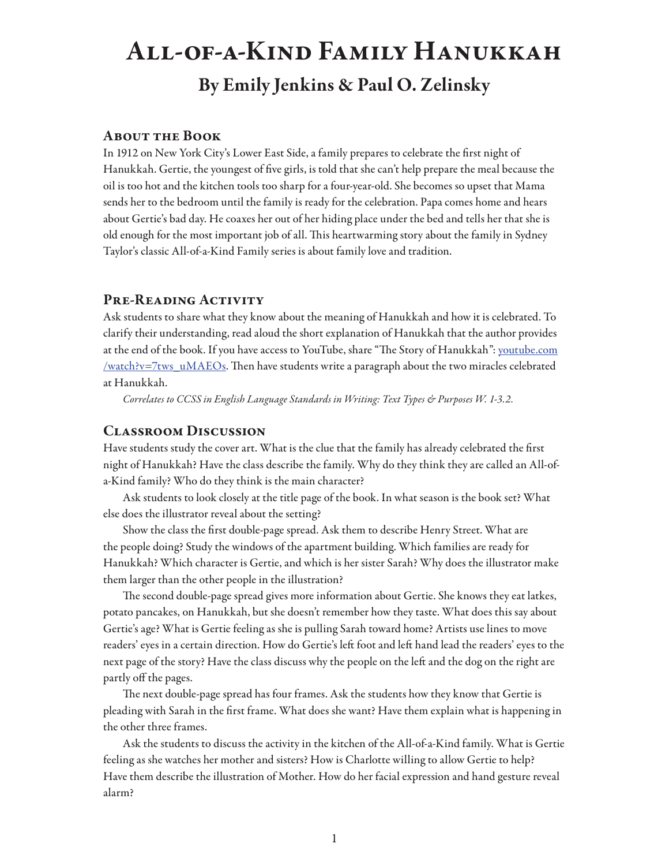# All-of-a-Kind Family Hanukkah By Emily Jenkins & Paul O. Zelinsky

# About the Book

In 1912 on New York City's Lower East Side, a family prepares to celebrate the first night of Hanukkah. Gertie, the youngest of five girls, is told that she can't help prepare the meal because the oil is too hot and the kitchen tools too sharp for a four-year-old. She becomes so upset that Mama sends her to the bedroom until the family is ready for the celebration. Papa comes home and hears about Gertie's bad day. He coaxes her out of her hiding place under the bed and tells her that she is old enough for the most important job of all. This heartwarming story about the family in Sydney Taylor's classic All-of-a-Kind Family series is about family love and tradition.

# PRE-READING ACTIVITY

Ask students to share what they know about the meaning of Hanukkah and how it is celebrated. To clarify their understanding, read aloud the short explanation of Hanukkah that the author provides at the end of the book. If you have access to YouTube, share "The Story of Hanukkah": youtube.com /watch?v=7tws\_uMAEOs. Then have students write a paragraph about the two miracles celebrated at Hanukkah.

*Correlates to CCSS in English Language Standards in Writing: Text Types & Purposes W. 1-3.2.* 

# Classroom Discussion

Have students study the cover art. What is the clue that the family has already celebrated the first night of Hanukkah? Have the class describe the family. Why do they think they are called an All-ofa-Kind family? Who do they think is the main character?

Ask students to look closely at the title page of the book. In what season is the book set? What else does the illustrator reveal about the setting?

Show the class the first double-page spread. Ask them to describe Henry Street. What are the people doing? Study the windows of the apartment building. Which families are ready for Hanukkah? Which character is Gertie, and which is her sister Sarah? Why does the illustrator make them larger than the other people in the illustration?

The second double-page spread gives more information about Gertie. She knows they eat latkes, potato pancakes, on Hanukkah, but she doesn't remember how they taste. What does this say about Gertie's age? What is Gertie feeling as she is pulling Sarah toward home? Artists use lines to move readers' eyes in a certain direction. How do Gertie's left foot and left hand lead the readers' eyes to the next page of the story? Have the class discuss why the people on the left and the dog on the right are partly off the pages.

The next double-page spread has four frames. Ask the students how they know that Gertie is pleading with Sarah in the first frame. What does she want? Have them explain what is happening in the other three frames.

Ask the students to discuss the activity in the kitchen of the All-of-a-Kind family. What is Gertie feeling as she watches her mother and sisters? How is Charlotte willing to allow Gertie to help? Have them describe the illustration of Mother. How do her facial expression and hand gesture reveal alarm?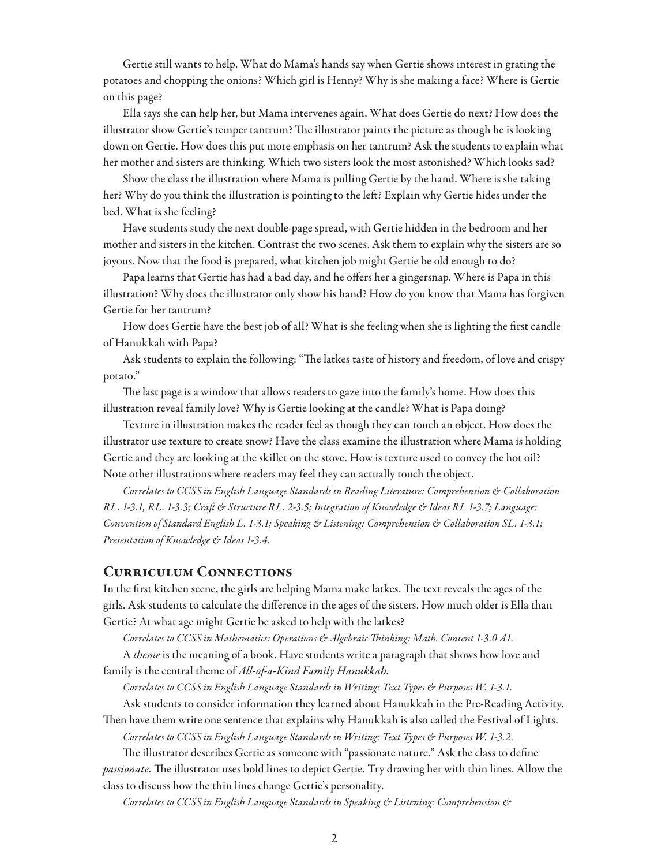Gertie still wants to help. What do Mama's hands say when Gertie shows interest in grating the potatoes and chopping the onions? Which girl is Henny? Why is she making a face? Where is Gertie on this page?

Ella says she can help her, but Mama intervenes again. What does Gertie do next? How does the illustrator show Gertie's temper tantrum? The illustrator paints the picture as though he is looking down on Gertie. How does this put more emphasis on her tantrum? Ask the students to explain what her mother and sisters are thinking. Which two sisters look the most astonished? Which looks sad?

Show the class the illustration where Mama is pulling Gertie by the hand. Where is she taking her? Why do you think the illustration is pointing to the left? Explain why Gertie hides under the bed. What is she feeling?

Have students study the next double-page spread, with Gertie hidden in the bedroom and her mother and sisters in the kitchen. Contrast the two scenes. Ask them to explain why the sisters are so joyous. Now that the food is prepared, what kitchen job might Gertie be old enough to do?

Papa learns that Gertie has had a bad day, and he offers her a gingersnap. Where is Papa in this illustration? Why does the illustrator only show his hand? How do you know that Mama has forgiven Gertie for her tantrum?

How does Gertie have the best job of all? What is she feeling when she is lighting the first candle of Hanukkah with Papa?

Ask students to explain the following: "The latkes taste of history and freedom, of love and crispy potato."

The last page is a window that allows readers to gaze into the family's home. How does this illustration reveal family love? Why is Gertie looking at the candle? What is Papa doing?

Texture in illustration makes the reader feel as though they can touch an object. How does the illustrator use texture to create snow? Have the class examine the illustration where Mama is holding Gertie and they are looking at the skillet on the stove. How is texture used to convey the hot oil? Note other illustrations where readers may feel they can actually touch the object.

*Correlates to CCSS in English Language Standards in Reading Literature: Comprehension & Collaboration RL. 1-3.1, RL. 1-3.3; Craft & Structure RL. 2-3.5; Integration of Knowledge & Ideas RL 1-3.7; Language: Convention of Standard English L. 1-3.1; Speaking & Listening: Comprehension & Collaboration SL. 1-3.1; Presentation of Knowledge & Ideas 1-3.4.*

#### Curriculum Connections

In the first kitchen scene, the girls are helping Mama make latkes. The text reveals the ages of the girls. Ask students to calculate the difference in the ages of the sisters. How much older is Ella than Gertie? At what age might Gertie be asked to help with the latkes?

*Correlates to CCSS in Mathematics: Operations & Algebraic Thinking: Math. Content 1-3.0 A1.*

A *theme* is the meaning of a book. Have students write a paragraph that shows how love and family is the central theme of *All-of-a-Kind Family Hanukkah.*

*Correlates to CCSS in English Language Standards in Writing: Text Types & Purposes W. 1-3.1.*

Ask students to consider information they learned about Hanukkah in the Pre-Reading Activity. Then have them write one sentence that explains why Hanukkah is also called the Festival of Lights.

*Correlates to CCSS in English Language Standards in Writing: Text Types & Purposes W. 1-3.2.*

The illustrator describes Gertie as someone with "passionate nature." Ask the class to define *passionate.* The illustrator uses bold lines to depict Gertie. Try drawing her with thin lines. Allow the class to discuss how the thin lines change Gertie's personality.

*Correlates to CCSS in English Language Standards in Speaking & Listening: Comprehension &*